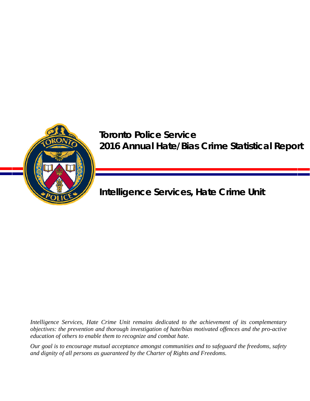

# **Toronto Police Service 2016 Annual Hate/Bias Crime Statistical Report**

**Intelligence Services, Hate Crime Unit** 

*Intelligence Services, Hate Crime Unit remains dedicated to the achievement of its complementary objectives: the prevention and thorough investigation of hate/bias motivated offences and the pro-active education of others to enable them to recognize and combat hate.* 

*Our goal is to encourage mutual acceptance amongst communities and to safeguard the freedoms, safety and dignity of all persons as guaranteed by the Charter of Rights and Freedoms.*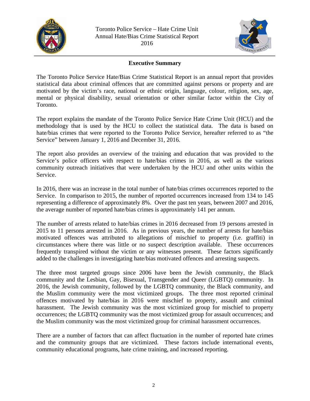



# **Executive Summary**

The Toronto Police Service Hate/Bias Crime Statistical Report is an annual report that provides statistical data about criminal offences that are committed against persons or property and are motivated by the victim's race, national or ethnic origin, language, colour, religion, sex, age, mental or physical disability, sexual orientation or other similar factor within the City of Toronto.

The report explains the mandate of the Toronto Police Service Hate Crime Unit (HCU) and the methodology that is used by the HCU to collect the statistical data. The data is based on hate/bias crimes that were reported to the Toronto Police Service, hereafter referred to as "the Service" between January 1, 2016 and December 31, 2016.

The report also provides an overview of the training and education that was provided to the Service's police officers with respect to hate/bias crimes in 2016, as well as the various community outreach initiatives that were undertaken by the HCU and other units within the Service.

In 2016, there was an increase in the total number of hate/bias crimes occurrences reported to the Service. In comparison to 2015, the number of reported occurrences increased from 134 to 145 representing a difference of approximately 8%. Over the past ten years, between 2007 and 2016, the average number of reported hate/bias crimes is approximately 141 per annum.

The number of arrests related to hate/bias crimes in 2016 decreased from 19 persons arrested in 2015 to 11 persons arrested in 2016. As in previous years, the number of arrests for hate/bias motivated offences was attributed to allegations of mischief to property (i.e. graffiti) in circumstances where there was little or no suspect description available. These occurrences frequently transpired without the victim or any witnesses present. These factors significantly added to the challenges in investigating hate/bias motivated offences and arresting suspects.

The three most targeted groups since 2006 have been the Jewish community, the Black community and the Lesbian, Gay, Bisexual, Transgender and Queer (LGBTQ) community. In 2016, the Jewish community, followed by the LGBTQ community, the Black community, and the Muslim community were the most victimized groups. The three most reported criminal offences motivated by hate/bias in 2016 were mischief to property, assault and criminal harassment. The Jewish community was the most victimized group for mischief to property occurrences; the LGBTQ community was the most victimized group for assault occurrences; and the Muslim community was the most victimized group for criminal harassment occurrences.

There are a number of factors that can affect fluctuation in the number of reported hate crimes and the community groups that are victimized. These factors include international events, community educational programs, hate crime training, and increased reporting.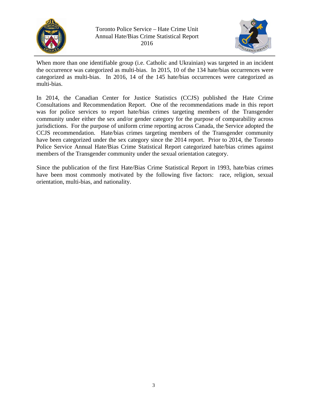



When more than one identifiable group (i.e. Catholic and Ukrainian) was targeted in an incident the occurrence was categorized as multi-bias. In 2015, 10 of the 134 hate/bias occurrences were categorized as multi-bias. In 2016, 14 of the 145 hate/bias occurrences were categorized as multi-bias.

In 2014, the Canadian Center for Justice Statistics (CCJS) published the Hate Crime Consultations and Recommendation Report. One of the recommendations made in this report was for police services to report hate/bias crimes targeting members of the Transgender community under either the sex and/or gender category for the purpose of comparability across jurisdictions. For the purpose of uniform crime reporting across Canada, the Service adopted the CCJS recommendation. Hate/bias crimes targeting members of the Transgender community have been categorized under the sex category since the 2014 report. Prior to 2014, the Toronto Police Service Annual Hate/Bias Crime Statistical Report categorized hate/bias crimes against members of the Transgender community under the sexual orientation category.

Since the publication of the first Hate/Bias Crime Statistical Report in 1993, hate/bias crimes have been most commonly motivated by the following five factors: race, religion, sexual orientation, multi-bias, and nationality.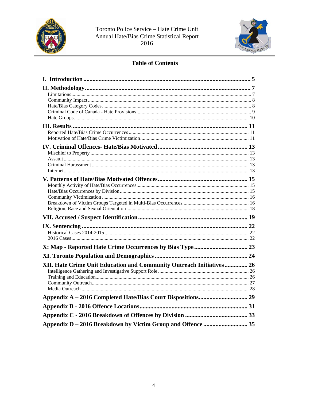



# **Table of Contents**

| XII. Hate Crime Unit Education and Community Outreach Initiatives 26 |  |
|----------------------------------------------------------------------|--|
|                                                                      |  |
|                                                                      |  |
|                                                                      |  |
|                                                                      |  |
|                                                                      |  |
|                                                                      |  |
|                                                                      |  |
| Appendix D - 2016 Breakdown by Victim Group and Offence  35          |  |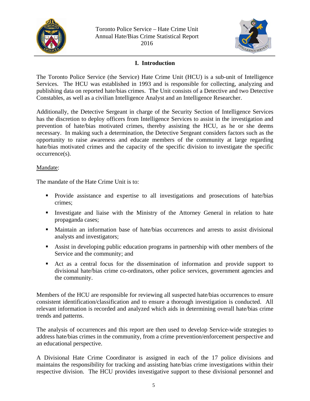



# **I. Introduction**

The Toronto Police Service (the Service) Hate Crime Unit (HCU) is a sub-unit of Intelligence Services. The HCU was established in 1993 and is responsible for collecting, analyzing and publishing data on reported hate/bias crimes. The Unit consists of a Detective and two Detective Constables, as well as a civilian Intelligence Analyst and an Intelligence Researcher.

Additionally, the Detective Sergeant in charge of the Security Section of Intelligence Services has the discretion to deploy officers from Intelligence Services to assist in the investigation and prevention of hate/bias motivated crimes, thereby assisting the HCU, as he or she deems necessary. In making such a determination, the Detective Sergeant considers factors such as the opportunity to raise awareness and educate members of the community at large regarding hate/bias motivated crimes and the capacity of the specific division to investigate the specific occurrence(s).

### Mandate:

The mandate of the Hate Crime Unit is to:

- Provide assistance and expertise to all investigations and prosecutions of hate/bias crimes;
- Investigate and liaise with the Ministry of the Attorney General in relation to hate propaganda cases;
- Maintain an information base of hate/bias occurrences and arrests to assist divisional analysts and investigators;
- Assist in developing public education programs in partnership with other members of the Service and the community; and
- Act as a central focus for the dissemination of information and provide support to divisional hate/bias crime co-ordinators, other police services, government agencies and the community.

Members of the HCU are responsible for reviewing all suspected hate/bias occurrences to ensure consistent identification/classification and to ensure a thorough investigation is conducted. All relevant information is recorded and analyzed which aids in determining overall hate/bias crime trends and patterns.

The analysis of occurrences and this report are then used to develop Service-wide strategies to address hate/bias crimes in the community, from a crime prevention/enforcement perspective and an educational perspective.

A Divisional Hate Crime Coordinator is assigned in each of the 17 police divisions and maintains the responsibility for tracking and assisting hate/bias crime investigations within their respective division. The HCU provides investigative support to these divisional personnel and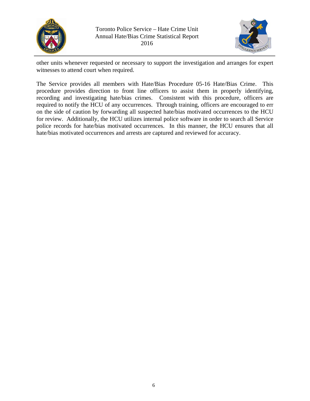



other units whenever requested or necessary to support the investigation and arranges for expert witnesses to attend court when required.

The Service provides all members with Hate/Bias Procedure 05-16 Hate/Bias Crime. This procedure provides direction to front line officers to assist them in properly identifying, recording and investigating hate/bias crimes. Consistent with this procedure, officers are required to notify the HCU of any occurrences. Through training, officers are encouraged to err on the side of caution by forwarding all suspected hate/bias motivated occurrences to the HCU for review. Additionally, the HCU utilizes internal police software in order to search all Service police records for hate/bias motivated occurrences. In this manner, the HCU ensures that all hate/bias motivated occurrences and arrests are captured and reviewed for accuracy.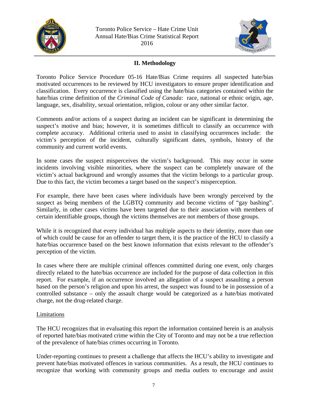



# **II. Methodology**

Toronto Police Service Procedure 05-16 Hate/Bias Crime requires all suspected hate/bias motivated occurrences to be reviewed by HCU investigators to ensure proper identification and classification. Every occurrence is classified using the hate/bias categories contained within the hate/bias crime definition of the *Criminal Code of Canada*: race, national or ethnic origin, age, language, sex, disability, sexual orientation, religion, colour or any other similar factor.

Comments and/or actions of a suspect during an incident can be significant in determining the suspect's motive and bias; however, it is sometimes difficult to classify an occurrence with complete accuracy. Additional criteria used to assist in classifying occurrences include: the victim's perception of the incident, culturally significant dates, symbols, history of the community and current world events.

In some cases the suspect misperceives the victim's background. This may occur in some incidents involving visible minorities, where the suspect can be completely unaware of the victim's actual background and wrongly assumes that the victim belongs to a particular group. Due to this fact, the victim becomes a target based on the suspect's misperception.

For example, there have been cases where individuals have been wrongly perceived by the suspect as being members of the LGBTQ community and become victims of "gay bashing". Similarly, in other cases victims have been targeted due to their association with members of certain identifiable groups, though the victims themselves are not members of those groups.

While it is recognized that every individual has multiple aspects to their identity, more than one of which could be cause for an offender to target them, it is the practice of the HCU to classify a hate/bias occurrence based on the best known information that exists relevant to the offender's perception of the victim.

In cases where there are multiple criminal offences committed during one event, only charges directly related to the hate/bias occurrence are included for the purpose of data collection in this report. For example, if an occurrence involved an allegation of a suspect assaulting a person based on the person's religion and upon his arrest, the suspect was found to be in possession of a controlled substance – only the assault charge would be categorized as a hate/bias motivated charge, not the drug-related charge.

# Limitations

The HCU recognizes that in evaluating this report the information contained herein is an analysis of reported hate/bias motivated crime within the City of Toronto and may not be a true reflection of the prevalence of hate/bias crimes occurring in Toronto.

Under-reporting continues to present a challenge that affects the HCU's ability to investigate and prevent hate/bias motivated offences in various communities. As a result, the HCU continues to recognize that working with community groups and media outlets to encourage and assist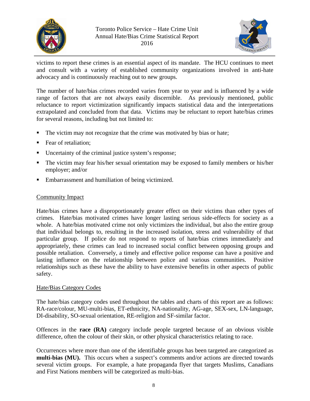



victims to report these crimes is an essential aspect of its mandate. The HCU continues to meet and consult with a variety of established community organizations involved in anti-hate advocacy and is continuously reaching out to new groups.

The number of hate/bias crimes recorded varies from year to year and is influenced by a wide range of factors that are not always easily discernible. As previously mentioned, public reluctance to report victimization significantly impacts statistical data and the interpretations extrapolated and concluded from that data. Victims may be reluctant to report hate/bias crimes for several reasons, including but not limited to:

- The victim may not recognize that the crime was motivated by bias or hate;
- Fear of retaliation;
- Uncertainty of the criminal justice system's response;
- The victim may fear his/her sexual orientation may be exposed to family members or his/her employer; and/or
- Embarrassment and humiliation of being victimized.

# Community Impact

Hate/bias crimes have a disproportionately greater effect on their victims than other types of crimes. Hate/bias motivated crimes have longer lasting serious side-effects for society as a whole. A hate/bias motivated crime not only victimizes the individual, but also the entire group that individual belongs to, resulting in the increased isolation, stress and vulnerability of that particular group. If police do not respond to reports of hate/bias crimes immediately and appropriately, these crimes can lead to increased social conflict between opposing groups and possible retaliation. Conversely, a timely and effective police response can have a positive and lasting influence on the relationship between police and various communities. Positive relationships such as these have the ability to have extensive benefits in other aspects of public safety.

### Hate/Bias Category Codes

The hate/bias category codes used throughout the tables and charts of this report are as follows: RA-race/colour, MU-multi-bias, ET-ethnicity, NA-nationality, AG-age, SEX-sex, LN-language, DI-disability, SO-sexual orientation, RE-religion and SF-similar factor.

Offences in the **race (RA)** category include people targeted because of an obvious visible difference, often the colour of their skin, or other physical characteristics relating to race.

Occurrences where more than one of the identifiable groups has been targeted are categorized as **multi-bias (MU).** This occurs when a suspect's comments and/or actions are directed towards several victim groups. For example, a hate propaganda flyer that targets Muslims, Canadians and First Nations members will be categorized as multi-bias.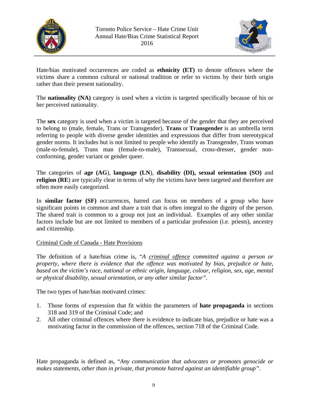



Hate/bias motivated occurrences are coded as **ethnicity (ET)** to denote offences where the victims share a common cultural or national tradition or refer to victims by their birth origin rather than their present nationality.

The **nationality (NA)** category is used when a victim is targeted specifically because of his or her perceived nationality.

The **sex** category is used when a victim is targeted because of the gender that they are perceived to belong to (male, female, Trans or Transgender). **Trans** or **Transgender** is an umbrella term referring to people with diverse gender identities and expressions that differ from stereotypical gender norms. It includes but is not limited to people who identify as Transgender, Trans woman (male-to-female), Trans man (female-to-male), Transsexual, cross-dresser, gender nonconforming, gender variant or gender queer.

The categories of **age (AG**), **language (LN**), **disability (DI), sexual orientation (SO)** and **religion (RE)** are typically clear in terms of why the victims have been targeted and therefore are often more easily categorized.

In **similar factor (SF)** occurrences, hatred can focus on members of a group who have significant points in common and share a trait that is often integral to the dignity of the person. The shared trait is common to a group not just an individual. Examples of any other similar factors include but are not limited to members of a particular profession (i.e. priests), ancestry and citizenship.

# Criminal Code of Canada - Hate Provisions

The definition of a hate/bias crime is, "*A criminal offence committed against a person or property, where there is evidence that the offence was motivated by bias, prejudice or hate, based on the victim's race, national or ethnic origin, language, colour, religion, sex, age, mental or physical disability, sexual orientation, or any other similar factor".* 

The two types of hate/bias motivated crimes:

- 1. Those forms of expression that fit within the parameters of **hate propaganda** in sections 318 and 319 of the Criminal Code; and
- 2. All other criminal offences where there is evidence to indicate bias, prejudice or hate was a motivating factor in the commission of the offences, section 718 of the Criminal Code.

Hate propaganda is defined as, "*Any communication that advocates or promotes genocide or makes statements, other than in private, that promote hatred against an identifiable group"*.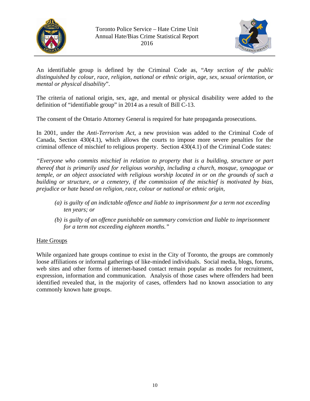



An identifiable group is defined by the Criminal Code as, "*Any section of the public distinguished by colour, race, religion, national or ethnic origin, age, sex, sexual orientation, or mental or physical disability*".

The criteria of national origin, sex, age, and mental or physical disability were added to the definition of "identifiable group" in 2014 as a result of Bill C-13.

The consent of the Ontario Attorney General is required for hate propaganda prosecutions.

In 2001, under the *Anti-Terrorism Act,* a new provision was added to the Criminal Code of Canada, Section 430(4.1), which allows the courts to impose more severe penalties for the criminal offence of mischief to religious property. Section 430(4.1) of the Criminal Code states:

*"Everyone who commits mischief in relation to property that is a building, structure or part thereof that is primarily used for religious worship, including a church, mosque, synagogue or temple, or an object associated with religious worship located in or on the grounds of such a building or structure, or a cemetery, if the commission of the mischief is motivated by bias, prejudice or hate based on religion, race, colour or national or ethnic origin,* 

- *(a) is guilty of an indictable offence and liable to imprisonment for a term not exceeding ten years; or*
- *(b) is guilty of an offence punishable on summary conviction and liable to imprisonment for a term not exceeding eighteen months."*

# Hate Groups

While organized hate groups continue to exist in the City of Toronto, the groups are commonly loose affiliations or informal gatherings of like-minded individuals. Social media, blogs, forums, web sites and other forms of internet-based contact remain popular as modes for recruitment, expression, information and communication. Analysis of those cases where offenders had been identified revealed that, in the majority of cases, offenders had no known association to any commonly known hate groups.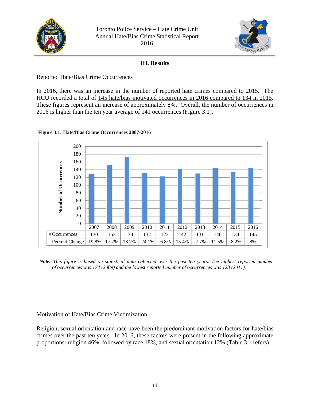



# **III. Results**

# Reported Hate/Bias Crime Occurrences

In 2016, there was an increase in the number of reported hate crimes compared to 2015. The HCU recorded a total of 145 hate/bias motivated occurrences in 2016 compared to 134 in 2015. These figures represent an increase of approximately 8%. Overall, the number of occurrences in 2016 is higher than the ten year average of 141 occurrences (Figure 3.1).

### 200 180 160 Number of Occurrences **Number of Occurrences** 140 120 100 80 60 40 20 0 2007 2008 2009 2010 2011 2012 2013 2014 2015 2016 Occurrences | 130 | 153 | 174 | 132 | 123 | 142 | 131 | 146 | 134 | 145 Percent Change -19.8% 17.7% 13.7% -24.1% -6.8% 15.4% -7.7% 11.5% -8.2% 8%

### **Figure 3.1: Hate/Bias Crime Occurrences 2007-2016**

 *Note: This figure is based on statistical data collected over the past ten years. The highest reported number of occurrences was 174 (2009) and the lowest reported number of occurrences was 123 (2011).* 

# Motivation of Hate/Bias Crime Victimization

Religion, sexual orientation and race have been the predominant motivation factors for hate/bias crimes over the past ten years. In 2016, these factors were present in the following approximate proportions: religion 46%, followed by race 18%, and sexual orientation 12% (Table 3.1 refers).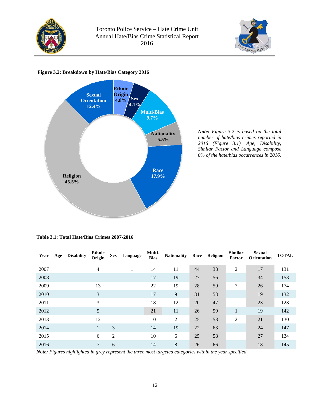



# **Figure 3.2: Breakdown by Hate/Bias Category 2016**



*Note: Figure 3.2 is based on the total number of hate/bias crimes reported in 2016 (Figure 3.1). Age, Disability, Similar Factor and Language compose 0% of the hate/bias occurrences in 2016.*

| Year | Age | <b>Disability</b> | <b>Ethnic</b><br>Origin | <b>Sex</b>     | Language | Multi-<br><b>Bias</b> | <b>Nationality</b> | Race | Religion | <b>Similar</b><br>Factor | <b>Sexual</b><br><b>Orientation</b> | <b>TOTAL</b> |
|------|-----|-------------------|-------------------------|----------------|----------|-----------------------|--------------------|------|----------|--------------------------|-------------------------------------|--------------|
| 2007 |     |                   | $\overline{4}$          |                |          | 14                    | 11                 | 44   | 38       | $\overline{2}$           | 17                                  | 131          |
| 2008 |     |                   |                         |                |          | 17                    | 19                 | 27   | 56       |                          | 34                                  | 153          |
| 2009 |     |                   | 13                      |                |          | 22                    | 19                 | 28   | 59       | 7                        | 26                                  | 174          |
| 2010 |     |                   | 3                       |                |          | 17                    | 9                  | 31   | 53       |                          | 19                                  | 132          |
| 2011 |     |                   | 3                       |                |          | 18                    | 12                 | 20   | 47       |                          | 23                                  | 123          |
| 2012 |     |                   | 5                       |                |          | 21                    | 11                 | 26   | 59       | $\mathbf{1}$             | 19                                  | 142          |
| 2013 |     |                   | 12                      |                |          | 10                    | 2                  | 25   | 58       | $\overline{2}$           | 21                                  | 130          |
| 2014 |     |                   |                         | 3              |          | 14                    | 19                 | 22   | 63       |                          | 24                                  | 147          |
| 2015 |     |                   | 6                       | $\overline{2}$ |          | 10                    | 6                  | 25   | 58       |                          | 27                                  | 134          |
| 2016 |     |                   | 7                       | 6              |          | 14                    | $8\,$              | 26   | 66       |                          | 18                                  | 145          |

*Note: Figures highlighted in grey represent the three most targeted categories within the year specified.*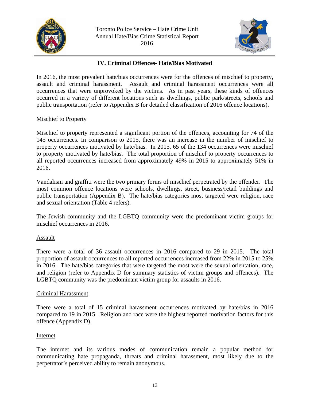



# **IV. Criminal Offences- Hate/Bias Motivated**

In 2016, the most prevalent hate/bias occurrences were for the offences of mischief to property, assault and criminal harassment. Assault and criminal harassment occurrences were all occurrences that were unprovoked by the victims. As in past years, these kinds of offences occurred in a variety of different locations such as dwellings, public park/streets, schools and public transportation (refer to Appendix B for detailed classification of 2016 offence locations).

# Mischief to Property

Mischief to property represented a significant portion of the offences, accounting for 74 of the 145 occurrences. In comparison to 2015, there was an increase in the number of mischief to property occurrences motivated by hate/bias. In 2015, 65 of the 134 occurrences were mischief to property motivated by hate/bias. The total proportion of mischief to property occurrences to all reported occurrences increased from approximately 49% in 2015 to approximately 51% in 2016.

Vandalism and graffiti were the two primary forms of mischief perpetrated by the offender. The most common offence locations were schools, dwellings, street, business/retail buildings and public transportation (Appendix B). The hate/bias categories most targeted were religion, race and sexual orientation (Table 4 refers).

The Jewish community and the LGBTQ community were the predominant victim groups for mischief occurrences in 2016.

### Assault

There were a total of 36 assault occurrences in 2016 compared to 29 in 2015. The total proportion of assault occurrences to all reported occurrences increased from 22% in 2015 to 25% in 2016. The hate/bias categories that were targeted the most were the sexual orientation, race, and religion (refer to Appendix D for summary statistics of victim groups and offences). The LGBTQ community was the predominant victim group for assaults in 2016.

### Criminal Harassment

There were a total of 15 criminal harassment occurrences motivated by hate/bias in 2016 compared to 19 in 2015. Religion and race were the highest reported motivation factors for this offence (Appendix D).

### Internet

The internet and its various modes of communication remain a popular method for communicating hate propaganda, threats and criminal harassment, most likely due to the perpetrator's perceived ability to remain anonymous.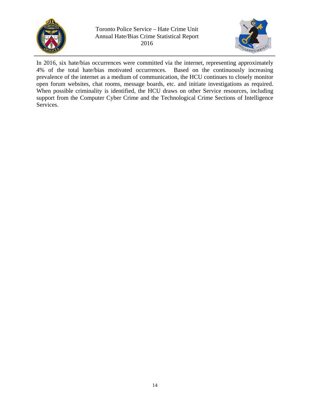



In 2016, six hate/bias occurrences were committed via the internet, representing approximately 4% of the total hate/bias motivated occurrences. Based on the continuously increasing prevalence of the internet as a medium of communication, the HCU continues to closely monitor open forum websites, chat rooms, message boards, etc. and initiate investigations as required. When possible criminality is identified, the HCU draws on other Service resources, including support from the Computer Cyber Crime and the Technological Crime Sections of Intelligence Services.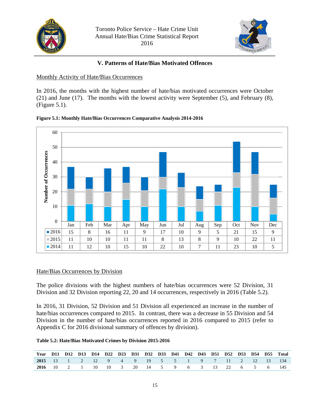



# **V. Patterns of Hate/Bias Motivated Offences**

# Monthly Activity of Hate/Bias Occurrences

In 2016, the months with the highest number of hate/bias motivated occurrences were October (21) and June (17). The months with the lowest activity were September (5), and February (8), (Figure 5.1).





# Hate/Bias Occurrences by Division

The police divisions with the highest numbers of hate/bias occurrences were 52 Division, 31 Division and 32 Division reporting 22, 20 and 14 occurrences, respectively in 2016 (Table 5.2).

In 2016, 31 Division, 52 Division and 51 Division all experienced an increase in the number of hate/bias occurrences compared to 2015. In contrast, there was a decrease in 55 Division and 54 Division in the number of hate/bias occurrences reported in 2016 compared to 2015 (refer to Appendix C for 2016 divisional summary of offences by division).

### **Table 5.2: Hate/Bias Motivated Crimes by Division 2015-2016**

| Year D11 D12 D13 D14 D22 D23 D31 D32 D33 D41 D42 D43 D51 D52 D53 D54 D55 Total |  |  |  |  |  |  |  |  |  |
|--------------------------------------------------------------------------------|--|--|--|--|--|--|--|--|--|
| 2015 13 1 2 12 9 4 9 19 5 5 1 9 7 11 2 12 13 134                               |  |  |  |  |  |  |  |  |  |
| 2016 10 2 1 10 10 3 20 14 5 9 6 3 13 22 6 5 6 145                              |  |  |  |  |  |  |  |  |  |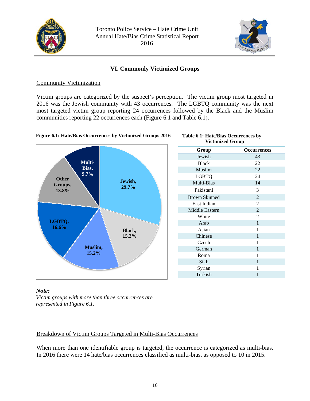



# **VI. Commonly Victimized Groups**

### Community Victimization

Victim groups are categorized by the suspect's perception. The victim group most targeted in 2016 was the Jewish community with 43 occurrences. The LGBTQ community was the next most targeted victim group reporting 24 occurrences followed by the Black and the Muslim communities reporting 22 occurrences each (Figure 6.1 and Table 6.1).



#### **Table 6.1: Hate/Bias Occurrences by Victimized Group**

| Group                | <b>Occurrences</b> |
|----------------------|--------------------|
| Jewish               | 43                 |
| <b>Black</b>         | 22                 |
| Muslim               | 22                 |
| LGBTQ                | 24                 |
| Multi-Bias           | 14                 |
| Pakistani            | 3                  |
| <b>Brown Skinned</b> | $\overline{2}$     |
| East Indian          | $\overline{2}$     |
| Middle Eastern       | $\overline{2}$     |
| White                | $\overline{2}$     |
| Arab                 | $\mathbf{1}$       |
| Asian                | 1                  |
| Chinese              | 1                  |
| Czech                | 1                  |
| German               | $\mathbf{1}$       |
| Roma                 | 1                  |
| Sikh                 | 1                  |
| Syrian               | 1                  |
| Turkish              | 1                  |

#### *Note: Victim groups with more than three occurrences are represented in Figure 6.1.*

# Breakdown of Victim Groups Targeted in Multi-Bias Occurrences

When more than one identifiable group is targeted, the occurrence is categorized as multi-bias. In 2016 there were 14 hate/bias occurrences classified as multi-bias, as opposed to 10 in 2015.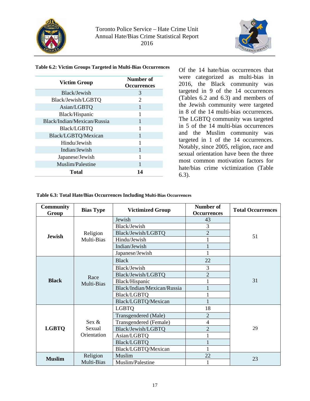



#### **Table 6.2: Victim Groups Targeted in Multi-Bias Occurrences**

| <b>Victim Group</b>         | Number of<br><b>Occurrences</b> |
|-----------------------------|---------------------------------|
| Black/Jewish                | 3                               |
| Black/Jewish/LGBTQ          | 2                               |
| Asian/LGBTQ                 |                                 |
| Black/Hispanic              |                                 |
| Black/Indian/Mexican/Russia | 1                               |
| Black/LGBTQ                 |                                 |
| Black/LGBTQ/Mexican         | 1                               |
| Hindu/Jewish                |                                 |
| Indian/Jewish               | 1                               |
| Japanese/Jewish             |                                 |
| Muslim/Palestine            |                                 |
| <b>Total</b>                | 14                              |

Of the 14 hate/bias occurrences that were categorized as multi-bias in 2016, the Black community was targeted in 9 of the 14 occurrences (Tables 6.2 and 6.3) and members of the Jewish community were targeted in 8 of the 14 multi-bias occurrences. The LGBTQ community was targeted in 5 of the 14 multi-bias occurrences and the Muslim community was targeted in 1 of the 14 occurrences. Notably, since 2005, religion, race and sexual orientation have been the three most common motivation factors for hate/bias crime victimization (Table 6.3).

#### **Table 6.3: Total Hate/Bias Occurrences Including Multi-Bias Occurrences**

| <b>Community</b><br>Group | <b>Bias Type</b>   | <b>Victimized Group</b>     | Number of<br><b>Occurrences</b> | <b>Total Occurrences</b> |  |
|---------------------------|--------------------|-----------------------------|---------------------------------|--------------------------|--|
|                           |                    | Jewish                      | 43                              |                          |  |
|                           |                    | Black/Jewish                | 3                               |                          |  |
| <b>Jewish</b>             | Religion           | Black/Jewish/LGBTQ          | $\overline{2}$                  | 51                       |  |
|                           | Multi-Bias         | Hindu/Jewish                |                                 |                          |  |
|                           |                    | Indian/Jewish               |                                 |                          |  |
|                           |                    | Japanese/Jewish             |                                 |                          |  |
|                           |                    | <b>Black</b>                | 22                              |                          |  |
|                           |                    | Black/Jewish                | 3                               |                          |  |
|                           | Race<br>Multi-Bias | Black/Jewish/LGBTQ          | $\overline{2}$                  |                          |  |
| <b>Black</b>              |                    | Black/Hispanic              |                                 | 31                       |  |
|                           |                    | Black/Indian/Mexican/Russia |                                 |                          |  |
|                           |                    | <b>Black/LGBTQ</b>          |                                 |                          |  |
|                           |                    | Black/LGBTQ/Mexican         |                                 |                          |  |
|                           |                    | <b>LGBTQ</b>                | 18                              |                          |  |
|                           |                    | Transgendered (Male)        | $\overline{2}$                  |                          |  |
|                           | Sex &              | Transgendered (Female)      | $\overline{4}$                  |                          |  |
| <b>LGBTQ</b>              | Sexual             | Black/Jewish/LGBTQ          | $\overline{2}$                  | 29                       |  |
|                           | Orientation        | Asian/LGBTQ                 |                                 |                          |  |
|                           |                    | <b>Black/LGBTQ</b>          | 1                               |                          |  |
|                           |                    | Black/LGBTQ/Mexican         |                                 |                          |  |
| <b>Muslim</b>             | Religion           | Muslim                      | 22                              |                          |  |
|                           | Multi-Bias         | Muslim/Palestine            |                                 | 23                       |  |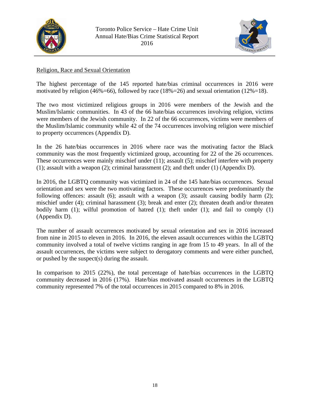



# Religion, Race and Sexual Orientation

The highest percentage of the 145 reported hate/bias criminal occurrences in 2016 were motivated by religion (46%=66), followed by race (18%=26) and sexual orientation (12%=18).

The two most victimized religious groups in 2016 were members of the Jewish and the Muslim/Islamic communities. In 43 of the 66 hate/bias occurrences involving religion, victims were members of the Jewish community. In 22 of the 66 occurrences, victims were members of the Muslim/Islamic community while 42 of the 74 occurrences involving religion were mischief to property occurrences (Appendix D).

In the 26 hate/bias occurrences in 2016 where race was the motivating factor the Black community was the most frequently victimized group, accounting for 22 of the 26 occurrences. These occurrences were mainly mischief under (11); assault (5); mischief interfere with property (1); assault with a weapon (2); criminal harassment (2); and theft under (1) (Appendix D).

In 2016, the LGBTQ community was victimized in 24 of the 145 hate/bias occurrences. Sexual orientation and sex were the two motivating factors. These occurrences were predominantly the following offences: assault (6); assault with a weapon (3); assault causing bodily harm (2); mischief under (4); criminal harassment (3); break and enter (2); threaten death and/or threaten bodily harm (1); wilful promotion of hatred (1); theft under (1); and fail to comply (1) (Appendix D).

The number of assault occurrences motivated by sexual orientation and sex in 2016 increased from nine in 2015 to eleven in 2016. In 2016, the eleven assault occurrences within the LGBTQ community involved a total of twelve victims ranging in age from 15 to 49 years. In all of the assault occurrences, the victims were subject to derogatory comments and were either punched, or pushed by the suspect(s) during the assault.

In comparison to 2015 (22%), the total percentage of hate/bias occurrences in the LGBTQ community decreased in 2016 (17%). Hate/bias motivated assault occurrences in the LGBTQ community represented 7% of the total occurrences in 2015 compared to 8% in 2016.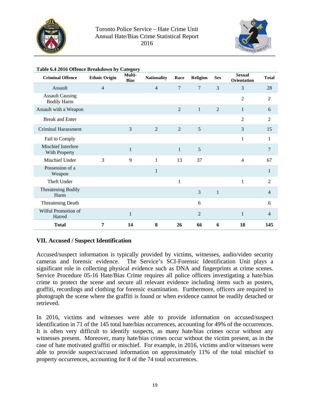



| <b>Criminal Offence</b>                      | <b>Ethnic Origin</b> | ----- <del>.</del> ---<br>Multi-<br><b>Bias</b> | <b>Nationality</b> | Race           | Religion       | <b>Sex</b>     | <b>Sexual</b><br><b>Orientation</b> | <b>Total</b>   |
|----------------------------------------------|----------------------|-------------------------------------------------|--------------------|----------------|----------------|----------------|-------------------------------------|----------------|
| Assault                                      | $\overline{4}$       |                                                 | $\overline{4}$     | $\overline{7}$ | $\overline{7}$ | 3              | 3                                   | 28             |
| <b>Assault Causing</b><br><b>Bodily Harm</b> |                      |                                                 |                    |                |                |                | $\overline{2}$                      | $\overline{2}$ |
| Assault with a Weapon                        |                      |                                                 |                    | $\overline{2}$ | $\mathbf{1}$   | $\overline{2}$ | $\mathbf{1}$                        | 6              |
| <b>Break and Enter</b>                       |                      |                                                 |                    |                |                |                | $\overline{2}$                      | 2              |
| Criminal Harassment                          |                      | 3                                               | $\overline{2}$     | $\overline{2}$ | 5              |                | 3                                   | 15             |
| Fail to Comply                               |                      |                                                 |                    |                |                |                | $\mathbf{1}$                        | 1              |
| Mischief Interfere<br>With Property          |                      | $\mathbf{1}$                                    |                    | $\mathbf{1}$   | 5              |                |                                     | 7              |
| Mischief Under                               | 3                    | 9                                               | 1                  | 13             | 37             |                | $\overline{4}$                      | 67             |
| Possession of a<br>Weapon                    |                      |                                                 | $\mathbf{1}$       |                |                |                |                                     | 1              |
| Theft Under                                  |                      |                                                 |                    | $\mathbf{1}$   |                |                | $\mathbf{1}$                        | 2              |
| Threatening Bodily<br>Harm                   |                      |                                                 |                    |                | 3              | $\mathbf{1}$   |                                     | $\overline{4}$ |
| <b>Threatening Death</b>                     |                      |                                                 |                    |                | 6              |                |                                     | 6              |
| Wilful Promotion of<br>Hatred                |                      | $\mathbf{1}$                                    |                    |                | $\overline{2}$ |                | $\mathbf{1}$                        | 4              |
| <b>Total</b>                                 | 7                    | 14                                              | 8                  | 26             | 66             | 6              | 18                                  | 145            |

### **Table 6.4 2016 Offence Breakdown by Category**

### **VII. Accused / Suspect Identification**

Accused/suspect information is typically provided by victims, witnesses, audio/video security cameras and forensic evidence. The Service's SCI-Forensic Identification Unit plays a significant role in collecting physical evidence such as DNA and fingerprints at crime scenes. Service Procedure 05-16 Hate/Bias Crime requires all police officers investigating a hate/bias crime to protect the scene and secure all relevant evidence including items such as posters, graffiti, recordings and clothing for forensic examination. Furthermore, officers are required to photograph the scene where the graffiti is found or when evidence cannot be readily detached or retrieved.

In 2016, victims and witnesses were able to provide information on accused/suspect identification in 71 of the 145 total hate/bias occurrences, accounting for 49% of the occurrences. It is often very difficult to identify suspects, as many hate/bias crimes occur without any witnesses present. Moreover, many hate/bias crimes occur without the victim present, as in the case of hate motivated graffiti or mischief. For example, in 2016, victims and/or witnesses were able to provide suspect/accused information on approximately 11% of the total mischief to property occurrences, accounting for 8 of the 74 total occurrences.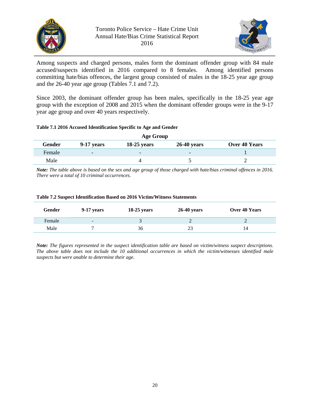



Among suspects and charged persons, males form the dominant offender group with 84 male accused/suspects identified in 2016 compared to 8 females. Among identified persons committing hate/bias offences, the largest group consisted of males in the 18-25 year age group and the 26-40 year age group (Tables 7.1 and 7.2).

Since 2003, the dominant offender group has been males, specifically in the 18-25 year age group with the exception of 2008 and 2015 when the dominant offender groups were in the 9-17 year age group and over 40 years respectively.

#### **Table 7.1 2016 Accused Identification Specific to Age and Gender**

| Age Group |                          |                          |                          |               |  |  |  |
|-----------|--------------------------|--------------------------|--------------------------|---------------|--|--|--|
| Gender    | $9-17$ years             | $18-25$ years            | $26-40$ years            | Over 40 Years |  |  |  |
| Female    | $\overline{\phantom{0}}$ | $\overline{\phantom{0}}$ | $\overline{\phantom{0}}$ |               |  |  |  |
| Male      |                          |                          |                          |               |  |  |  |

*Note: The table above is based on the sex and age group of those charged with hate/bias criminal offences in 2016. There were a total of 10 criminal occurrences.* 

| Gender | $9-17$ years             | $18-25$ years | $26-40$ years | Over 40 Years |
|--------|--------------------------|---------------|---------------|---------------|
| Female | $\overline{\phantom{0}}$ |               |               |               |
| Male   |                          | 36            | 23            | 14            |

#### **Table 7.2 Suspect Identification Based on 2016 Victim/Witness Statements**

*Note: The figures represented in the suspect identification table are based on victim/witness suspect descriptions. The above table does not include the 10 additional occurrences in which the victim/witnesses identified male suspects but were unable to determine their age.*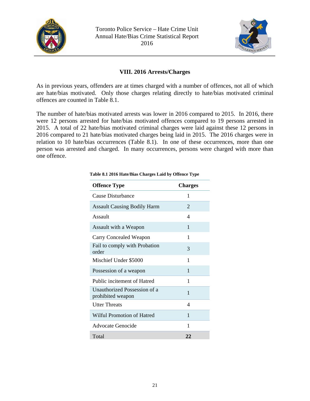



# **VIII. 2016 Arrests/Charges**

As in previous years, offenders are at times charged with a number of offences, not all of which are hate/bias motivated. Only those charges relating directly to hate/bias motivated criminal offences are counted in Table 8.1.

The number of hate/bias motivated arrests was lower in 2016 compared to 2015. In 2016, there were 12 persons arrested for hate/bias motivated offences compared to 19 persons arrested in 2015. A total of 22 hate/bias motivated criminal charges were laid against these 12 persons in 2016 compared to 21 hate/bias motivated charges being laid in 2015. The 2016 charges were in relation to 10 hate/bias occurrences (Table 8.1). In one of these occurrences, more than one person was arrested and charged. In many occurrences, persons were charged with more than one offence.

| <b>Offence Type</b>                               | <b>Charges</b> |
|---------------------------------------------------|----------------|
| Cause Disturbance                                 | 1              |
| <b>Assault Causing Bodily Harm</b>                | 2              |
| Assault                                           | 4              |
| Assault with a Weapon                             | 1              |
| Carry Concealed Weapon                            | 1              |
| Fail to comply with Probation<br>order            | 3              |
| Mischief Under \$5000                             | 1              |
| Possession of a weapon                            | 1              |
| Public incitement of Hatred                       | 1              |
| Unauthorized Possession of a<br>prohibited weapon | 1              |
| <b>Utter Threats</b>                              | 4              |
| Wilful Promotion of Hatred                        | 1              |
| Advocate Genocide                                 | 1              |
| Total                                             | 22             |

#### **Table 8.1 2016 Hate/Bias Charges Laid by Offence Type**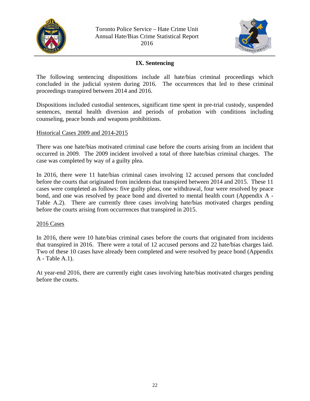



# **IX. Sentencing**

The following sentencing dispositions include all hate/bias criminal proceedings which concluded in the judicial system during 2016. The occurrences that led to these criminal proceedings transpired between 2014 and 2016.

Dispositions included custodial sentences, significant time spent in pre-trial custody, suspended sentences, mental health diversion and periods of probation with conditions including counseling, peace bonds and weapons prohibitions.

### Historical Cases 2009 and 2014-2015

There was one hate/bias motivated criminal case before the courts arising from an incident that occurred in 2009. The 2009 incident involved a total of three hate/bias criminal charges. The case was completed by way of a guilty plea.

In 2016, there were 11 hate/bias criminal cases involving 12 accused persons that concluded before the courts that originated from incidents that transpired between 2014 and 2015. These 11 cases were completed as follows: five guilty pleas, one withdrawal, four were resolved by peace bond, and one was resolved by peace bond and diverted to mental health court (Appendix A - Table A.2). There are currently three cases involving hate/bias motivated charges pending before the courts arising from occurrences that transpired in 2015.

### 2016 Cases

In 2016, there were 10 hate/bias criminal cases before the courts that originated from incidents that transpired in 2016. There were a total of 12 accused persons and 22 hate/bias charges laid. Two of these 10 cases have already been completed and were resolved by peace bond (Appendix A - Table A.1).

At year-end 2016, there are currently eight cases involving hate/bias motivated charges pending before the courts.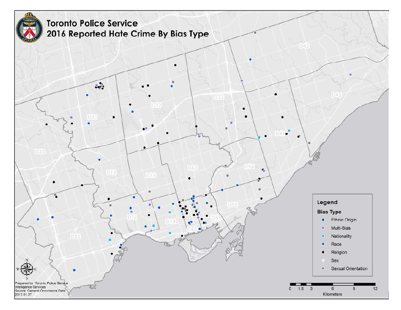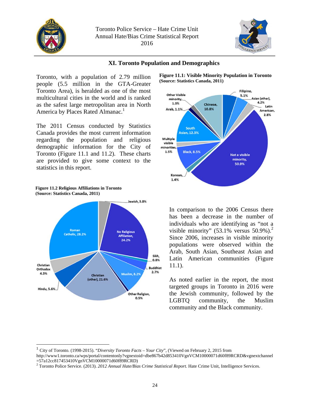



# **XI. Toronto Population and Demographics**

Toronto, with a population of 2.79 million people (5.5 million in the GTA-Greater Toronto Area), is heralded as one of the most multicultural cities in the world and is ranked as the safest large metropolitan area in North America by Places Rated Almanac.<sup>1</sup>

The 2011 Census conducted by Statistics Canada provides the most current information regarding the population and religious demographic information for the City of Toronto (Figure 11.1 and 11.2). These charts are provided to give some context to the statistics in this report.





**Figure 11.1: Visible Minority Population in Toronto (Source: Statistics Canada, 2011)**



In comparison to the 2006 Census there has been a decrease in the number of individuals who are identifying as "not a visible minority"  $(53.1\% \text{ versus } 50.9\%).^2$ Since 2006, increases in visible minority populations were observed within the Arab, South Asian, Southeast Asian and Latin American communities (Figure 11.1).

As noted earlier in the report, the most targeted groups in Toronto in 2016 were the Jewish community, followed by the LGBTQ community, the Muslim community and the Black community.

1

<sup>1</sup> City of Toronto. (1998-2015). "*Diversity Toronto Facts – Your City*", (Viewed on February 2, 2015 from http://www1.toronto.ca/wps/portal/contentonly?vgnextoid=dbe867b42d853410VgnVCM10000071d60f89RCRD&vgnextchannel

<sup>=57</sup>a12cc817453410VgnVCM10000071d60f89RCRD)

<sup>2</sup> Toronto Police Service. (2013). *2012 Annual Hate/Bias Crime Statistical Report.* Hate Crime Unit, Intelligence Services.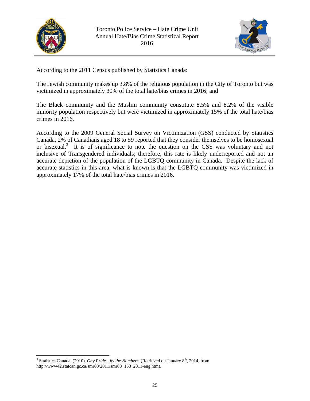

 $\overline{a}$ 



According to the 2011 Census published by Statistics Canada:

The Jewish community makes up 3.8% of the religious population in the City of Toronto but was victimized in approximately 30% of the total hate/bias crimes in 2016; and

The Black community and the Muslim community constitute 8.5% and 8.2% of the visible minority population respectively but were victimized in approximately 15% of the total hate/bias crimes in 2016.

According to the 2009 General Social Survey on Victimization (GSS) conducted by Statistics Canada, 2% of Canadians aged 18 to 59 reported that they consider themselves to be homosexual or bisexual.<sup>3</sup> It is of significance to note the question on the GSS was voluntary and not inclusive of Transgendered individuals; therefore, this rate is likely underreported and not an accurate depiction of the population of the LGBTQ community in Canada. Despite the lack of accurate statistics in this area, what is known is that the LGBTQ community was victimized in approximately 17% of the total hate/bias crimes in 2016.

 $3$  Statistics Canada. (2010). *Gay Pride...by the Numbers*. (Retrieved on January  $8<sup>th</sup>$ , 2014, from http://www42.statcan.gc.ca/smr08/2011/smr08\_158\_2011-eng.htm).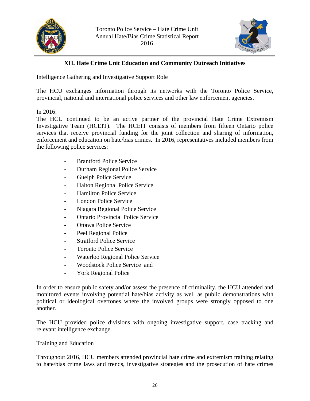



# **XII. Hate Crime Unit Education and Community Outreach Initiatives**

Intelligence Gathering and Investigative Support Role

The HCU exchanges information through its networks with the Toronto Police Service, provincial, national and international police services and other law enforcement agencies.

# In 2016:

The HCU continued to be an active partner of the provincial Hate Crime Extremism Investigative Team (HCEIT). The HCEIT consists of members from fifteen Ontario police services that receive provincial funding for the joint collection and sharing of information, enforcement and education on hate/bias crimes. In 2016, representatives included members from the following police services:

- Brantford Police Service
- Durham Regional Police Service
- Guelph Police Service
- Halton Regional Police Service
- Hamilton Police Service
- London Police Service
- Niagara Regional Police Service
- Ontario Provincial Police Service
- Ottawa Police Service
- Peel Regional Police
- Stratford Police Service
- Toronto Police Service
- Waterloo Regional Police Service
- Woodstock Police Service and
- York Regional Police

In order to ensure public safety and/or assess the presence of criminality, the HCU attended and monitored events involving potential hate/bias activity as well as public demonstrations with political or ideological overtones where the involved groups were strongly opposed to one another.

The HCU provided police divisions with ongoing investigative support, case tracking and relevant intelligence exchange.

### Training and Education

Throughout 2016, HCU members attended provincial hate crime and extremism training relating to hate/bias crime laws and trends, investigative strategies and the prosecution of hate crimes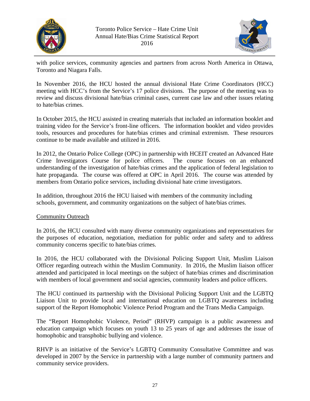



with police services, community agencies and partners from across North America in Ottawa, Toronto and Niagara Falls.

In November 2016, the HCU hosted the annual divisional Hate Crime Coordinators (HCC) meeting with HCC's from the Service's 17 police divisions. The purpose of the meeting was to review and discuss divisional hate/bias criminal cases, current case law and other issues relating to hate/bias crimes.

In October 2015, the HCU assisted in creating materials that included an information booklet and training video for the Service's front-line officers. The information booklet and video provides tools, resources and procedures for hate/bias crimes and criminal extremism. These resources continue to be made available and utilized in 2016.

In 2012, the Ontario Police College (OPC) in partnership with HCEIT created an Advanced Hate Crime Investigators Course for police officers. The course focuses on an enhanced understanding of the investigation of hate/bias crimes and the application of federal legislation to hate propaganda. The course was offered at OPC in April 2016. The course was attended by members from Ontario police services, including divisional hate crime investigators.

In addition, throughout 2016 the HCU liaised with members of the community including schools, government, and community organizations on the subject of hate/bias crimes.

# Community Outreach

In 2016, the HCU consulted with many diverse community organizations and representatives for the purposes of education, negotiation, mediation for public order and safety and to address community concerns specific to hate/bias crimes.

In 2016, the HCU collaborated with the Divisional Policing Support Unit, Muslim Liaison Officer regarding outreach within the Muslim Community. In 2016, the Muslim liaison officer attended and participated in local meetings on the subject of hate/bias crimes and discrimination with members of local government and social agencies, community leaders and police officers.

The HCU continued its partnership with the Divisional Policing Support Unit and the LGBTQ Liaison Unit to provide local and international education on LGBTQ awareness including support of the Report Homophobic Violence Period Program and the Trans Media Campaign.

The "Report Homophobic Violence, Period" (RHVP) campaign is a public awareness and education campaign which focuses on youth 13 to 25 years of age and addresses the issue of homophobic and transphobic bullying and violence.

RHVP is an initiative of the Service's LGBTQ Community Consultative Committee and was developed in 2007 by the Service in partnership with a large number of community partners and community service providers.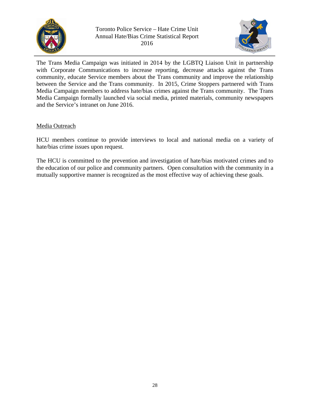



The Trans Media Campaign was initiated in 2014 by the LGBTQ Liaison Unit in partnership with Corporate Communications to increase reporting, decrease attacks against the Trans community, educate Service members about the Trans community and improve the relationship between the Service and the Trans community. In 2015, Crime Stoppers partnered with Trans Media Campaign members to address hate/bias crimes against the Trans community. The Trans Media Campaign formally launched via social media, printed materials, community newspapers and the Service's intranet on June 2016.

# Media Outreach

HCU members continue to provide interviews to local and national media on a variety of hate/bias crime issues upon request.

The HCU is committed to the prevention and investigation of hate/bias motivated crimes and to the education of our police and community partners. Open consultation with the community in a mutually supportive manner is recognized as the most effective way of achieving these goals.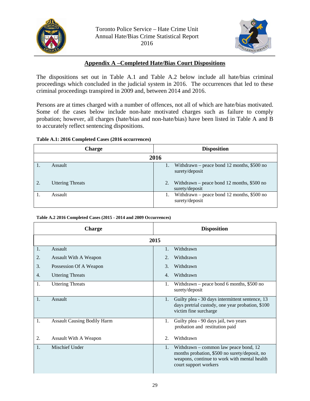



# **Appendix A –Completed Hate/Bias Court Dispositions**

The dispositions set out in Table A.1 and Table A.2 below include all hate/bias criminal proceedings which concluded in the judicial system in 2016. The occurrences that led to these criminal proceedings transpired in 2009 and, between 2014 and 2016.

Persons are at times charged with a number of offences, not all of which are hate/bias motivated. Some of the cases below include non-hate motivated charges such as failure to comply probation; however, all charges (hate/bias and non-hate/bias) have been listed in Table A and B to accurately reflect sentencing dispositions.

#### **Table A.1: 2016 Completed Cases (2016 occurrences)**

|    | <b>Charge</b>           | <b>Disposition</b> |                                                               |  |  |  |
|----|-------------------------|--------------------|---------------------------------------------------------------|--|--|--|
|    |                         | 2016               |                                                               |  |  |  |
|    | Assault                 |                    | Withdrawn – peace bond 12 months, $$500$ no<br>surety/deposit |  |  |  |
| 2. | <b>Uttering Threats</b> | surety/deposit     | Withdrawn – peace bond 12 months, $$500$ no                   |  |  |  |
|    | Assault                 |                    | Withdrawn – peace bond 12 months, $$500$ no<br>surety/deposit |  |  |  |

#### **Table A.2 2016 Completed Cases (2015 - 2014 and 2009 Occurrences)**

| <b>Charge</b>  |                                    | <b>Disposition</b>     |                                                                                                                                                                   |  |  |
|----------------|------------------------------------|------------------------|-------------------------------------------------------------------------------------------------------------------------------------------------------------------|--|--|
|                |                                    | 2015                   |                                                                                                                                                                   |  |  |
| $\mathbf{1}$ . | Assault                            |                        | Withdrawn                                                                                                                                                         |  |  |
| 2.             | <b>Assault With A Weapon</b>       | 2.                     | Withdrawn                                                                                                                                                         |  |  |
| 3.             | Possession Of A Weapon             | $\mathcal{B}_{\alpha}$ | Withdrawn                                                                                                                                                         |  |  |
| 4.             | <b>Uttering Threats</b>            | 4.                     | Withdrawn                                                                                                                                                         |  |  |
| 1.             | <b>Uttering Threats</b>            | 1.                     | Withdrawn – peace bond 6 months, \$500 no<br>surety/deposit                                                                                                       |  |  |
| 1.             | Assault                            | 1.                     | Guilty plea - 30 days intermittent sentence, 13<br>days pretrial custody, one year probation, \$100<br>victim fine surcharge                                      |  |  |
| 1.             | <b>Assault Causing Bodily Harm</b> | 1.                     | Guilty plea - 90 days jail, two years<br>probation and restitution paid                                                                                           |  |  |
| 2.             | Assault With A Weapon              | 2.                     | Withdrawn                                                                                                                                                         |  |  |
| 1.             | Mischief Under                     | 1.                     | Withdrawn – common law peace bond, $12$<br>months probation, \$500 no surety/deposit, no<br>weapons, continue to work with mental health<br>court support workers |  |  |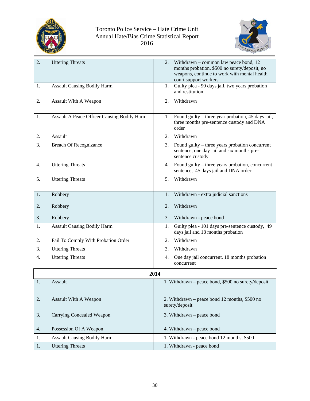



| 2. | <b>Uttering Threats</b>                     | Withdrawn – common law peace bond, 12<br>2.<br>months probation, \$500 no surety/deposit, no                            |
|----|---------------------------------------------|-------------------------------------------------------------------------------------------------------------------------|
|    |                                             | weapons, continue to work with mental health<br>court support workers                                                   |
| 1. | <b>Assault Causing Bodily Harm</b>          | Guilty plea - 90 days jail, two years probation<br>1.<br>and restitution                                                |
| 2. | Assault With A Weapon                       | Withdrawn<br>2.                                                                                                         |
|    |                                             |                                                                                                                         |
| 1. | Assault A Peace Officer Causing Bodily Harm | Found guilty – three year probation, 45 days jail,<br>1.<br>three months pre-sentence custody and DNA<br>order          |
| 2. | Assault                                     | Withdrawn<br>2.                                                                                                         |
| 3. | <b>Breach Of Recognizance</b>               | 3.<br>Found guilty – three years probation concurrent<br>sentence, one day jail and six months pre-<br>sentence custody |
| 4. | <b>Uttering Threats</b>                     | Found guilty – three years probation, concurrent<br>4.<br>sentence, 45 days jail and DNA order                          |
| 5. | <b>Uttering Threats</b>                     | Withdrawn<br>5.                                                                                                         |
|    |                                             |                                                                                                                         |
| 1. | Robbery                                     | Withdrawn - extra judicial sanctions<br>1.                                                                              |
| 2. | Robbery                                     | Withdrawn<br>2.                                                                                                         |
| 3. | Robbery                                     | 3.<br>Withdrawn - peace bond                                                                                            |
| 1. | <b>Assault Causing Bodily Harm</b>          | Guilty plea - 101 days pre-sentence custody, 49<br>1.<br>days jail and 18 months probation                              |
| 2. | Fail To Comply With Probation Order         | Withdrawn<br>2.                                                                                                         |
| 3. | <b>Uttering Threats</b>                     | Withdrawn<br>3.                                                                                                         |
| 4. | <b>Uttering Threats</b>                     | One day jail concurrent, 18 months probation<br>4.<br>concurrent                                                        |
|    |                                             | 2014                                                                                                                    |
| 1. | Assault                                     | 1. Withdrawn - peace bond, \$500 no surety/deposit                                                                      |
|    |                                             |                                                                                                                         |
| 2. | Assault With A Weapon                       | 2. Withdrawn – peace bond 12 months, \$500 no<br>surety/deposit                                                         |
| 3. | <b>Carrying Concealed Weapon</b>            | 3. Withdrawn – peace bond                                                                                               |
| 4. | Possession Of A Weapon                      | 4. Withdrawn - peace bond                                                                                               |
| 1. | <b>Assault Causing Bodily Harm</b>          | 1. Withdrawn - peace bond 12 months, \$500                                                                              |
| 1. | <b>Uttering Threats</b>                     | 1. Withdrawn - peace bond                                                                                               |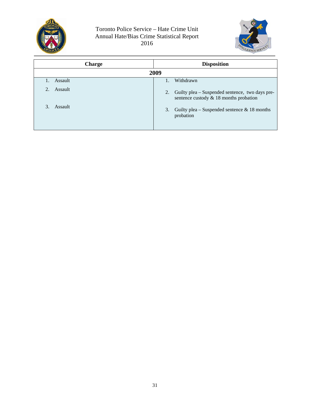



| <b>Charge</b> | <b>Disposition</b>                                                                                |
|---------------|---------------------------------------------------------------------------------------------------|
|               | 2009                                                                                              |
| Assault       | Withdrawn                                                                                         |
| Assault       | Guilty plea – Suspended sentence, two days pre-<br>2.<br>sentence custody $& 18$ months probation |
| 3.<br>Assault | Guilty plea – Suspended sentence $\&$ 18 months<br>3.<br>probation                                |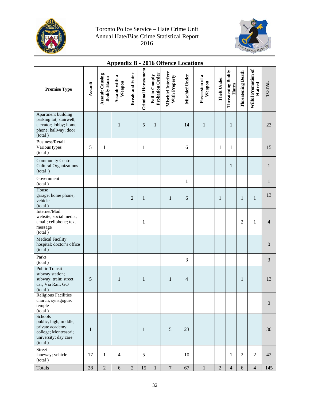



# **Appendix B - 2016 Offence Locations**

| <b>Premise Type</b>                                                                                             | Assault      | <b>Assault Causing</b><br><b>Bodily Harm</b> | Assault with a<br>Weapon | <b>Break and Enter</b> | Criminal Harassment | Probation Order<br>Fail to Comply | Mischief Interfere<br>With Property | Mischief Under | Possession of a<br>Weapon | <b>Theft Under</b> | Threatening Bodily<br>Harm | <b>Threatening Death</b> | Wilful Promotion of<br>Hatred | TOTAL          |
|-----------------------------------------------------------------------------------------------------------------|--------------|----------------------------------------------|--------------------------|------------------------|---------------------|-----------------------------------|-------------------------------------|----------------|---------------------------|--------------------|----------------------------|--------------------------|-------------------------------|----------------|
| Apartment building<br>parking lot; stairwell;<br>elevator; lobby; home<br>phone; hallway; door<br>(total)       |              |                                              | $\mathbf{1}$             |                        | 5                   | $\mathbf{1}$                      |                                     | 14             | $\mathbf{1}$              |                    | $\mathbf{1}$               |                          |                               | 23             |
| Business/Retail<br>Various types<br>(total)                                                                     | 5            | $\mathbf{1}$                                 |                          |                        | $\mathbf{1}$        |                                   |                                     | 6              |                           | 1                  | 1                          |                          |                               | 15             |
| Community Centre<br><b>Cultural Organizations</b><br>(total)                                                    |              |                                              |                          |                        |                     |                                   |                                     |                |                           |                    | $\mathbf{1}$               |                          |                               | 1              |
| Government<br>(total)                                                                                           |              |                                              |                          |                        |                     |                                   |                                     | $\mathbf{1}$   |                           |                    |                            |                          |                               | $\mathbf{1}$   |
| House<br>garage; home phone;<br>vehicle<br>(total)                                                              |              |                                              |                          | $\overline{c}$         | 1                   |                                   | $\mathbf{1}$                        | 6              |                           | 1                  |                            | $\mathbf{1}$             | $\,1$                         | 13             |
| Internet/Mail<br>website; social media;<br>email; cellphone; text<br>message<br>(total)                         |              |                                              |                          |                        | 1                   |                                   |                                     |                |                           |                    |                            | $\overline{2}$           | $\mathbf{1}$                  | $\overline{4}$ |
| <b>Medical Facility</b><br>hospital; doctor's office<br>(total)                                                 |              |                                              |                          |                        |                     |                                   |                                     |                |                           |                    |                            |                          |                               | $\mathbf{0}$   |
| Parks<br>(total)                                                                                                |              |                                              |                          |                        |                     |                                   |                                     | 3              |                           |                    |                            |                          |                               | 3              |
| <b>Public Transit</b><br>subway station;<br>subway; train; street<br>car; Via Rail; GO<br>(total)               | 5            |                                              | $\mathbf{1}$             |                        | $\mathbf{1}$        |                                   | $\mathbf{1}$                        | $\overline{4}$ |                           |                    |                            | $\mathbf{1}$             |                               | 13             |
| <b>Religious Facilities</b><br>church; synagogue;<br>temple<br>(total)                                          |              |                                              |                          |                        |                     |                                   |                                     |                |                           |                    |                            |                          |                               | $\mathbf{0}$   |
| Schools<br>public; high; middle;<br>private academy;<br>college; Montessori;<br>university; day care<br>(total) | $\mathbf{1}$ |                                              |                          |                        | $\mathbf{1}$        |                                   | $\sqrt{5}$                          | 23             |                           |                    |                            |                          |                               | 30             |
| Street<br>laneway; vehicle<br>(total)                                                                           | 17           | $\mathbf{1}$                                 | $\overline{4}$           |                        | 5                   |                                   |                                     | 10             |                           |                    | 1                          | $\overline{2}$           | $\overline{2}$                | 42             |
| Totals                                                                                                          | 28           | $\overline{2}$                               | $\sqrt{6}$               | $\overline{2}$         | 15                  | $\mathbf{1}$                      | $\overline{7}$                      | 67             | $\mathbf{1}$              | $\overline{2}$     | $\overline{4}$             | 6                        | $\overline{4}$                | 145            |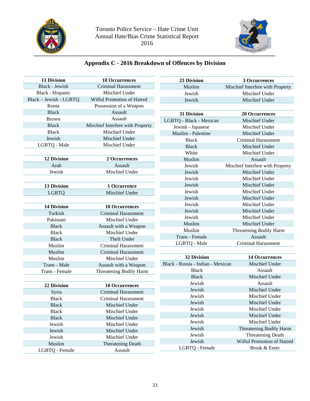



# **Appendix C - 2016 Breakdown of Offences by Division**

| <b>11 Division</b>     | <b>10 Occurrences</b>            | 23 Division                       | 3 Occurrences                    |
|------------------------|----------------------------------|-----------------------------------|----------------------------------|
| Black - Jewish         | <b>Criminal Harassment</b>       | Muslim                            | Mischief Interfere with Property |
| Black - Hispanic       | Mischief Under                   | Jewish                            | Mischief Under                   |
| Black - Jewish - LGBTQ | Wilful Promotion of Hatred       | Jewish                            | Mischief Under                   |
| Roma                   | Possession of a Weapon           |                                   |                                  |
| <b>Black</b>           | Assault                          | 31 Division                       | <b>20 Occurrences</b>            |
| <b>Brown</b>           | Assault                          | LGBTQ - Black - Mexican           | Mischief Under                   |
| <b>Black</b>           | Mischief Interfere with Property | Jewish - Japanese                 | Mischief Under                   |
| <b>Black</b>           | Mischief Under                   | Muslim - Palestine                | Mischief Under                   |
| Jewish                 | Mischief Under                   | <b>Black</b>                      | <b>Criminal Harassment</b>       |
| LGBTQ - Male           | Mischief Under                   | <b>Black</b>                      | Mischief Under                   |
|                        |                                  | White                             | Mischief Under                   |
| <b>12 Division</b>     | 2 Occurrences                    | Muslim                            | Assault                          |
| Arab                   | Assault                          | Jewish                            | Mischief Interfere with Property |
| Jewish                 | Mischief Under                   | Jewish                            | Mischief Under                   |
|                        |                                  | Jewish                            | Mischief Under                   |
| <b>13 Division</b>     | 1 Occurrence                     | Jewish                            | Mischief Under                   |
| <b>LGBTQ</b>           | Mischief Under                   | Jewish                            | Mischief Under                   |
|                        |                                  | Jewish                            | Mischief Under                   |
| <b>14 Division</b>     | <b>10 Occurrences</b>            | Jewish                            | Mischief Under                   |
| Turkish                | <b>Criminal Harassment</b>       | Jewish                            | Mischief Under                   |
| Pakistani              | Mischief Under                   | Jewish                            | Mischief Under                   |
| <b>Black</b>           | Assault with a Weapon            | Muslim                            | Mischief Under                   |
| <b>Black</b>           | Mischief Under                   | Muslim                            | Threatening Bodily Harm          |
| <b>Black</b>           | Theft Under                      | Trans - Female                    | Assault                          |
| Muslim                 | <b>Criminal Harassment</b>       | LGBTQ - Male                      | Criminal Harassment              |
| Muslim                 | <b>Criminal Harassment</b>       |                                   |                                  |
| Muslim                 | Mischief Under                   | <b>32 Division</b>                | <b>14 Occurrences</b>            |
| Trans - Male           | Assault with a Weapon            | Black - Russia - Indian - Mexican | Mischief Under                   |
| Trans - Female         | Threatening Bodily Harm          | <b>Black</b>                      | Assault                          |
|                        |                                  | <b>Black</b>                      | Mischief Under                   |
| 22 Division            | <b>10 Occurrences</b>            | Jewish                            | Assault                          |
| Syria                  | <b>Criminal Harassment</b>       | Jewish                            | Mischief Under                   |
| <b>Black</b>           | <b>Criminal Harassment</b>       | Jewish                            | Mischief Under                   |
| <b>Black</b>           | Mischief Under                   | Jewish                            | Mischief Under                   |
| <b>Black</b>           | Mischief Under                   | Jewish                            | Mischief Under                   |
| <b>Black</b>           | Mischief Under                   | Jewish                            | Mischief Under                   |
| Jewish                 | Mischief Under                   | Jewish                            | Mischief Under                   |
| Jewish                 | Mischief Under                   | Jewish                            | Threatening Bodily Harm          |
| Jewish                 | Mischief Under                   | Jewish                            | Threatening Death                |
| Muslim                 | <b>Threatening Death</b>         | Jewish                            | Wilful Promotion of Hatred       |
| LGBTQ - Female         | Assault                          | LGBTQ - Female                    | Break & Enter                    |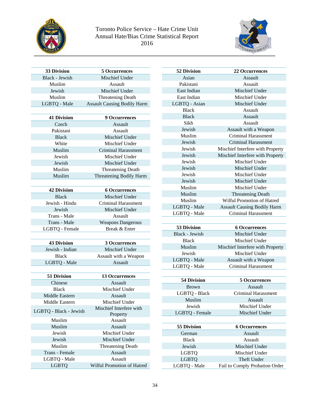



**52 Division 22 Occurrences**  Assault

| <b>33 Division</b>     | <b>5 Occurrences</b>               | 52 Division        |                |
|------------------------|------------------------------------|--------------------|----------------|
| Black - Jewish         | Mischief Under                     | Asian              |                |
| Muslim                 | Assault                            | Pakistani          |                |
| Jewish                 | Mischief Under                     | East Indian        |                |
| Muslim                 | <b>Threatening Death</b>           | East Indian        |                |
| LGBTQ - Male           | <b>Assault Causing Bodily Harm</b> | LGBTQ - Asian      |                |
|                        |                                    | <b>Black</b>       |                |
| <b>41 Division</b>     | <b>9 Occurrences</b>               | <b>Black</b>       |                |
| Czech                  | Assault                            | Sikh               |                |
| Pakistani              | Assault                            | Jewish             | A:             |
| <b>Black</b>           | Mischief Under                     | Muslim             | C              |
| White                  | Mischief Under                     | Jewish             | $\overline{C}$ |
| Muslim                 | Criminal Harassment                | Jewish             | Mischi         |
| Jewish                 | Mischief Under                     | Jewish             | Mischi         |
| Jewish                 | Mischief Under                     | Jewish             |                |
| Muslim                 | Threatening Death                  | Jewish             |                |
| Muslim                 | Threatening Bodily Harm            | Jewish             |                |
|                        |                                    | Jewish             |                |
| <b>42 Division</b>     | <b>6 Occurrences</b>               | Muslim             |                |
| <b>Black</b>           | Mischief Under                     | Muslim             |                |
| Jewish - Hindu         | <b>Criminal Harassment</b>         | Muslim             | Wilf           |
| Jewish                 | Mischief Under                     | LGBTQ - Male       | Assau          |
| Trans - Male           | Assault                            | LGBTQ - Male       | C              |
| Trans - Male           | <b>Weapons Dangerous</b>           |                    |                |
| LGBTQ - Female         | Break & Enter                      | 53 Division        |                |
|                        |                                    | Black - Jewish     |                |
| <b>43 Division</b>     | 3 Occurrences                      | <b>Black</b>       |                |
| Jewish - Indian        | Mischief Under                     | Muslim             | Mischi         |
| <b>Black</b>           | Assault with a Weapon              | Jewish             |                |
| LGBTQ - Male           | Assault                            | LGBTQ - Male       | A:             |
|                        |                                    | LGBTQ - Male       | $\mathsf{C}$   |
| 51 Division            | <b>13 Occurrences</b>              |                    |                |
| Chinese                | Assault                            | <b>54 Division</b> |                |
| <b>Black</b>           | Mischief Under                     | <b>Brown</b>       |                |
| Middle Eastern         | Assault                            | LGBTQ - Black      |                |
| Middle Eastern         | Mischief Under                     | Muslim             |                |
|                        | Mischief Interfere with            | Jewish             |                |
| LGBTQ - Black - Jewish | Property                           | LGBTQ - Female     |                |
| Muslim                 | Assault                            |                    |                |
| Muslim                 | Assault                            | <b>55 Division</b> |                |
| Jewish                 | Mischief Under                     | German             |                |
| Jewish                 | Mischief Under                     | <b>Black</b>       |                |
| Muslim                 | Threatening Death                  | Jewish             |                |
| Trans - Female         | Assault                            | <b>LGBTQ</b>       |                |
| LGBTQ - Male           | Assault                            | <b>LGBTQ</b>       |                |
| <b>LGBTQ</b>           | Wilful Promotion of Hatred         | LGBTQ - Male       | Fail to        |
|                        |                                    |                    |                |

| Pakistani          | Assault                            |
|--------------------|------------------------------------|
| East Indian        | Mischief Under                     |
| East Indian        | Mischief Under                     |
| LGBTQ - Asian      | Mischief Under                     |
| <b>Black</b>       | Assault                            |
| <b>Black</b>       | Assault                            |
| Sikh               | Assault                            |
| <b>Jewish</b>      | Assault with a Weapon              |
| Muslim             | Criminal Harassment                |
| Jewish             | <b>Criminal Harassment</b>         |
| <b>Jewish</b>      | Mischief Interfere with Property   |
| Jewish             | Mischief Interfere with Property   |
| <b>Jewish</b>      | Mischief Under                     |
| Jewish             | <b>Mischief Under</b>              |
| Jewish             | Mischief Under                     |
| Jewish             | Mischief Under                     |
| Muslim             | Mischief Under                     |
| Muslim             | <b>Threatening Death</b>           |
| Muslim             | Wilful Promotion of Hatred         |
| LGBTQ - Male       | <b>Assault Causing Bodily Harm</b> |
| LGBTQ - Male       | Criminal Harassment                |
|                    |                                    |
| <b>53 Division</b> | <b>6 Occurrences</b>               |
| Black - Jewish     | Mischief Under                     |
| <b>Black</b>       | Mischief Under                     |
|                    |                                    |

| Muslim       | Mischief Interfere with Property |
|--------------|----------------------------------|
| Jewish       | Mischief Under                   |
| LGBTO - Male | Assault with a Weapon            |
| LGBTQ - Male | Criminal Harassment              |

| <b>54 Division</b> | <b>5 Occurrences</b> |
|--------------------|----------------------|
| <b>Brown</b>       | Assault              |
| LGBTQ - Black      | Criminal Harassment  |
| Muslim             | Assault              |
| Jewish             | Mischief Under       |
| LGBTQ - Female     | Mischief Under       |
|                    |                      |
| <b>55 Division</b> | <b>6 Occurrences</b> |

| 55 Division  | <b>6 Occurrences</b>           |
|--------------|--------------------------------|
| German       | Assault                        |
| <b>Black</b> | Assault                        |
| Jewish       | Mischief Under                 |
| LGBTO        | Mischief Under                 |
| <b>LGBTO</b> | Theft Under                    |
| LGBTQ - Male | Fail to Comply Probation Order |
|              |                                |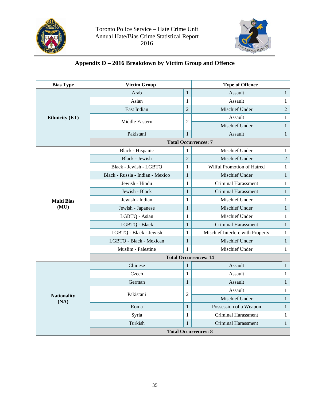



# **Appendix D – 2016 Breakdown by Victim Group and Offence**

| <b>Bias Type</b>           | <b>Victim Group</b>              | <b>Type of Offence</b> |                                  |              |  |  |  |
|----------------------------|----------------------------------|------------------------|----------------------------------|--------------|--|--|--|
|                            | Arab                             | $\mathbf{1}$           | Assault                          | $\mathbf{1}$ |  |  |  |
|                            | Asian                            |                        | Assault                          | $\mathbf{1}$ |  |  |  |
|                            | East Indian                      | $\overline{2}$         | Mischief Under                   | $\sqrt{2}$   |  |  |  |
| <b>Ethnicity (ET)</b>      | Middle Eastern                   |                        | Assault                          | $\mathbf{1}$ |  |  |  |
|                            |                                  | $\mathbf{2}$           | Mischief Under                   | $\mathbf{1}$ |  |  |  |
|                            | Pakistani                        | $\mathbf{1}$           | Assault                          | $\mathbf{1}$ |  |  |  |
|                            |                                  |                        | <b>Total Occurrences: 7</b>      |              |  |  |  |
|                            | Black - Hispanic                 | 1                      | Mischief Under                   | $\mathbf{1}$ |  |  |  |
|                            | <b>Black - Jewish</b>            | $\overline{2}$         | Mischief Under                   | $\sqrt{2}$   |  |  |  |
|                            | Black - Jewish - LGBTQ           | 1                      | Wilful Promotion of Hatred       | $\mathbf{1}$ |  |  |  |
|                            | Black - Russia - Indian - Mexico | $\mathbf{1}$           | Mischief Under                   | $\mathbf{1}$ |  |  |  |
|                            | Jewish - Hindu                   |                        | <b>Criminal Harassment</b>       | $\mathbf{1}$ |  |  |  |
|                            | Jewish - Black                   |                        | <b>Criminal Harassment</b>       | $\mathbf{1}$ |  |  |  |
| <b>Multi Bias</b>          | Jewish - Indian                  | $\mathbf{1}$           | Mischief Under                   | $\mathbf{1}$ |  |  |  |
| (MU)                       | Jewish - Japanese                | $\mathbf{1}$           | Mischief Under                   | $\mathbf{1}$ |  |  |  |
|                            | LGBTQ - Asian                    | 1                      | Mischief Under                   | 1            |  |  |  |
|                            | LGBTQ - Black                    | $\,1$                  | <b>Criminal Harassment</b>       | $\mathbf{1}$ |  |  |  |
|                            | LGBTQ - Black - Jewish           |                        | Mischief Interfere with Property | 1            |  |  |  |
|                            | LGBTQ - Black - Mexican          | $1\,$                  | Mischief Under                   | $\mathbf{1}$ |  |  |  |
|                            | Muslim - Palestine               | $\mathbf{1}$           | Mischief Under                   | $\mathbf{1}$ |  |  |  |
|                            | <b>Total Occurrences: 14</b>     |                        |                                  |              |  |  |  |
|                            | Chinese                          | $\mathbf{1}$           | Assault                          | $\mathbf{1}$ |  |  |  |
|                            | Czech                            | $\mathbf{1}$           | Assault                          | $\mathbf{1}$ |  |  |  |
|                            | German                           | $\mathbf{1}$           | Assault                          | $\mathbf{1}$ |  |  |  |
|                            | Pakistani                        | $\overline{2}$         | Assault                          | $\mathbf{1}$ |  |  |  |
| <b>Nationality</b><br>(NA) |                                  |                        | Mischief Under                   | $\mathbf{1}$ |  |  |  |
|                            | Roma                             | $\mathbf{1}$           | Possession of a Weapon           | $\mathbf{1}$ |  |  |  |
|                            | Syria                            | $\mathbf{1}$           | <b>Criminal Harassment</b>       | $\mathbf{1}$ |  |  |  |
|                            | Turkish                          | $\mathbf{1}$           | Criminal Harassment              | $\mathbf{1}$ |  |  |  |
|                            | <b>Total Occurrences: 8</b>      |                        |                                  |              |  |  |  |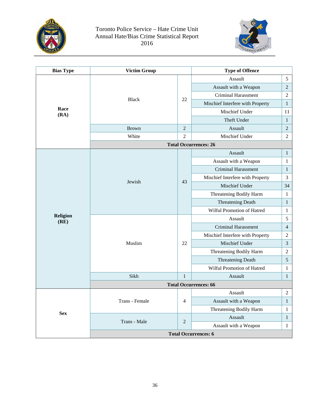



| <b>Bias Type</b>        | <b>Victim Group</b>         |                | <b>Type of Offence</b>           |                  |  |  |
|-------------------------|-----------------------------|----------------|----------------------------------|------------------|--|--|
|                         |                             |                | Assault                          | 5                |  |  |
|                         |                             |                | Assault with a Weapon            | $\overline{c}$   |  |  |
|                         |                             |                | <b>Criminal Harassment</b>       | $\overline{c}$   |  |  |
|                         | <b>Black</b>                | 22             | Mischief Interfere with Property | $\mathbf{1}$     |  |  |
| Race<br>(RA)            |                             |                | Mischief Under                   | 11               |  |  |
|                         |                             |                | Theft Under                      | $\mathbf{1}$     |  |  |
|                         | <b>Brown</b>                | $\overline{2}$ | Assault                          |                  |  |  |
|                         | White                       | $\overline{2}$ | Mischief Under                   |                  |  |  |
|                         |                             |                | <b>Total Occurrences: 26</b>     |                  |  |  |
|                         |                             |                | Assault                          | 1                |  |  |
|                         |                             | 43             | Assault with a Weapon            | 1                |  |  |
|                         | Jewish                      |                | Criminal Harassment              | 1                |  |  |
|                         |                             |                | Mischief Interfere with Property | 3                |  |  |
|                         |                             |                | Mischief Under                   | 34               |  |  |
|                         |                             |                | Threatening Bodily Harm          | 1                |  |  |
|                         |                             |                | <b>Threatening Death</b>         | 1                |  |  |
|                         |                             |                | Wilful Promotion of Hatred       | 1                |  |  |
| <b>Religion</b><br>(RE) |                             |                | Assault                          | 5                |  |  |
|                         |                             |                | <b>Criminal Harassment</b>       | $\overline{4}$   |  |  |
|                         |                             | 22             | Mischief Interfere with Property | $\overline{c}$   |  |  |
|                         | Muslim                      |                | Mischief Under                   | 3                |  |  |
|                         |                             |                | Threatening Bodily Harm          | $\overline{c}$   |  |  |
|                         |                             |                | <b>Threatening Death</b>         | 5                |  |  |
|                         |                             |                | Wilful Promotion of Hatred       | 1                |  |  |
|                         | Sikh                        | $\mathbf{1}$   | Assault                          | 1                |  |  |
|                         |                             |                | <b>Total Occurrences: 66</b>     |                  |  |  |
|                         |                             |                | Assault                          | $\boldsymbol{2}$ |  |  |
|                         | Trans - Female              | $\overline{4}$ | Assault with a Weapon            | $\mathbf{1}$     |  |  |
|                         |                             |                | Threatening Bodily Harm          | 1                |  |  |
| <b>Sex</b>              | Trans - Male                |                | Assault                          | $\mathbf{1}$     |  |  |
|                         |                             |                | Assault with a Weapon            | $\mathbf{1}$     |  |  |
|                         | <b>Total Occurrences: 6</b> |                |                                  |                  |  |  |